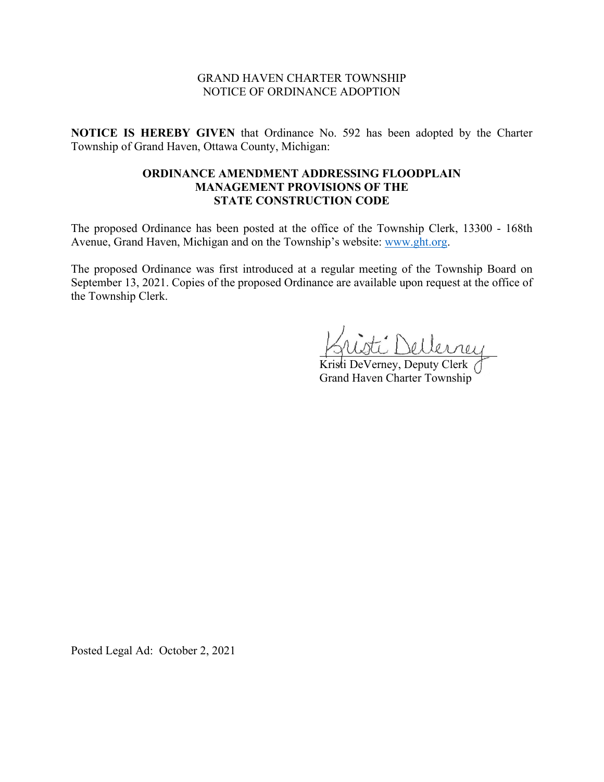#### GRAND HAVEN CHARTER TOWNSHIP NOTICE OF ORDINANCE ADOPTION

**NOTICE IS HEREBY GIVEN** that Ordinance No. 592 has been adopted by the Charter Township of Grand Haven, Ottawa County, Michigan:

# **ORDINANCE AMENDMENT ADDRESSING FLOODPLAIN MANAGEMENT PROVISIONS OF THE STATE CONSTRUCTION CODE**

The proposed Ordinance has been posted at the office of the Township Clerk, 13300 - 168th Avenue, Grand Haven, Michigan and on the Township's website: [www.ght.org.](http://www.ght.org/)

The proposed Ordinance was first introduced at a regular meeting of the Township Board on September 13, 2021. Copies of the proposed Ordinance are available upon request at the office of the Township Clerk.

i Dellerrey

Kristi DeVerney, Deputy Clerk Grand Haven Charter Township

Posted Legal Ad: October 2, 2021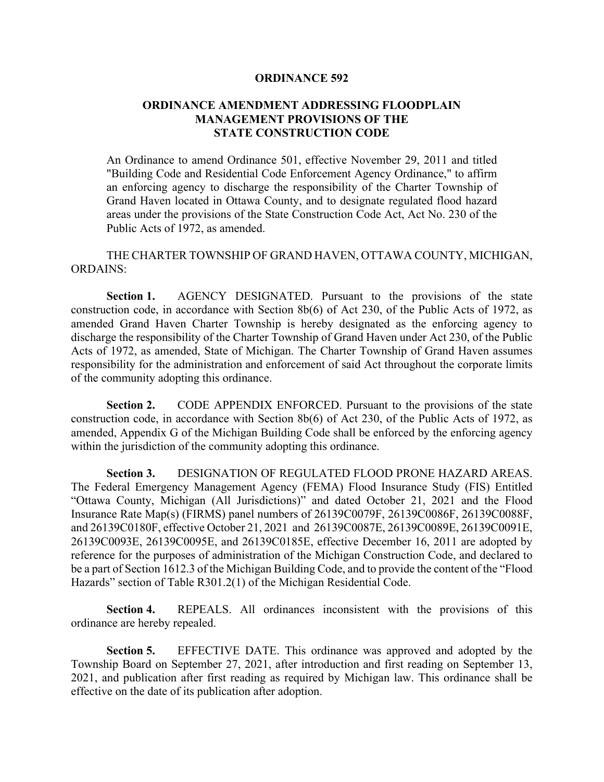#### **ORDINANCE 592**

# **ORDINANCE AMENDMENT ADDRESSING FLOODPLAIN MANAGEMENT PROVISIONS OF THE STATE CONSTRUCTION CODE**

An Ordinance to amend Ordinance 501, effective November 29, 2011 and titled "Building Code and Residential Code Enforcement Agency Ordinance," to affirm an enforcing agency to discharge the responsibility of the Charter Township of Grand Haven located in Ottawa County, and to designate regulated flood hazard areas under the provisions of the State Construction Code Act, Act No. 230 of the Public Acts of 1972, as amended.

# THE CHARTER TOWNSHIP OF GRAND HAVEN, OTTAWA COUNTY, MICHIGAN, ORDAINS:

**Section 1.** AGENCY DESIGNATED. Pursuant to the provisions of the state construction code, in accordance with Section 8b(6) of Act 230, of the Public Acts of 1972, as amended Grand Haven Charter Township is hereby designated as the enforcing agency to discharge the responsibility of the Charter Township of Grand Haven under Act 230, of the Public Acts of 1972, as amended, State of Michigan. The Charter Township of Grand Haven assumes responsibility for the administration and enforcement of said Act throughout the corporate limits of the community adopting this ordinance.

**Section 2.** CODE APPENDIX ENFORCED. Pursuant to the provisions of the state construction code, in accordance with Section 8b(6) of Act 230, of the Public Acts of 1972, as amended, Appendix G of the Michigan Building Code shall be enforced by the enforcing agency within the jurisdiction of the community adopting this ordinance.

**Section 3.** DESIGNATION OF REGULATED FLOOD PRONE HAZARD AREAS. The Federal Emergency Management Agency (FEMA) Flood Insurance Study (FIS) Entitled "Ottawa County, Michigan (All Jurisdictions)" and dated October 21, 2021 and the Flood Insurance Rate Map(s) (FIRMS) panel numbers of 26139C0079F, 26139C0086F, 26139C0088F, and 26139C0180F, effective October 21, 2021 and 26139C0087E, 26139C0089E, 26139C0091E, 26139C0093E, 26139C0095E, and 26139C0185E, effective December 16, 2011 are adopted by reference for the purposes of administration of the Michigan Construction Code, and declared to be a part of Section 1612.3 of the Michigan Building Code, and to provide the content of the "Flood Hazards" section of Table R301.2(1) of the Michigan Residential Code.

**Section 4.** REPEALS. All ordinances inconsistent with the provisions of this ordinance are hereby repealed.

**Section 5.** EFFECTIVE DATE. This ordinance was approved and adopted by the Township Board on September 27, 2021, after introduction and first reading on September 13, 2021, and publication after first reading as required by Michigan law. This ordinance shall be effective on the date of its publication after adoption.